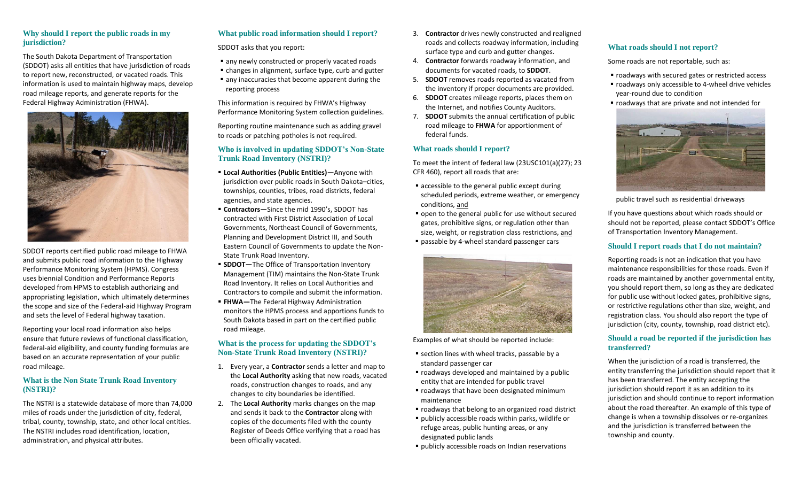#### **Why should I report the public roads in my jurisdiction?**

The South Dakota Department of Transportation (SDDOT) asks all entities that have jurisdiction of roads to report new, reconstructed, or vacated roads. This information is used to maintain highway maps, develop road mileage reports, and generate reports for the Federal Highway Administration (FHWA).



SDDOT reports certified public road mileage to FHWA and submits public road information to the Highway Performance Monitoring System (HPMS). Congress uses biennial Condition and Performance Reports developed from HPMS to establish authorizing and appropriating legislation, which ultimately determines the scope and size of the Federal-aid Highway Program and sets the level of Federal highway taxation.

Reporting your local road information also helps ensure that future reviews of functional classification, federal-aid eligibility, and county funding formulas are based on an accurate representation of your public road mileage.

#### **What is the Non State Trunk Road Inventory (NSTRI)?**

The NSTRI is a statewide database of more than 74,000 miles of roads under the jurisdiction of city, federal, tribal, county, township, state, and other local entities. The NSTRI includes road identification, location, administration, and physical attributes.

# **What public road information should I report?**

SDDOT asks that you report:

- any newly constructed or properly vacated roads
- changes in alignment, surface type, curb and gutter ■ any inaccuracies that become apparent during the
- reporting process

This information is required by FHWA's Highway Performance Monitoring System collection guidelines.

Reporting routine maintenance such as adding gravel to roads or patching potholes is not required.

#### **Who is involved in updating SDDOT's Non-State Trunk Road Inventory (NSTRI)?**

- **Local Authorities (Public Entities)—**Anyone with jurisdiction over public roads in South Dakota–cities, townships, counties, tribes, road districts, federal agencies, and state agencies.
- **Contractors—**Since the mid 1990's, SDDOT has contracted with First District Association of Local Governments, Northeast Council of Governments, Planning and Development District III, and South Eastern Council of Governments to update the Non-State Trunk Road Inventory.
- **EXTEDST-** The Office of Transportation Inventory Management (TIM) maintains the Non-State Trunk Road Inventory. It relies on Local Authorities and Contractors to compile and submit the information.
- **FHWA**—The Federal Highway Administration monitors the HPMS process and apportions funds to South Dakota based in part on the certified public road mileage.

## **What is the process for updating the SDDOT's Non-State Trunk Road Inventory (NSTRI)?**

- 1. Every year, a **Contractor** sends a letter and map to the **Local Authority** asking that new roads, vacated roads, construction changes to roads, and any changes to city boundaries be identified.
- 2. The **Local Authority** marks changes on the map and sends it back to the **Contractor** along with copies of the documents filed with the county Register of Deeds Office verifying that a road has been officially vacated.
- 3. **Contractor** drives newly constructed and realigned roads and collects roadway information, including surface type and curb and gutter changes.
- 4. **Contractor** forwards roadway information, and documents for vacated roads, to **SDDOT**.
- 5. **SDDOT** removes roads reported as vacated from the inventory if proper documents are provided.
- 6. **SDDOT** creates mileage reports, places them on the Internet, and notifies County Auditors.
- 7. **SDDOT** submits the annual certification of public road mileage to **FHWA** for apportionment of federal funds.

#### **What roads should I report?**

To meet the intent of federal law (23USC101(a)(27); 23 CFR 460), report all roads that are:

- accessible to the general public except during scheduled periods, extreme weather, or emergency conditions, and
- open to the general public for use without secured gates, prohibitive signs, or regulation other than size, weight, or registration class restrictions, and
- **passable by 4-wheel standard passenger cars**



Examples of what should be reported include:

- section lines with wheel tracks, passable by a standard passenger car
- roadways developed and maintained by a public entity that are intended for public travel
- roadways that have been designated minimum maintenance
- roadways that belong to an organized road district
- publicly accessible roads within parks, wildlife or refuge areas, public hunting areas, or any designated public lands
- publicly accessible roads on Indian reservations

## **What roads should I not report?**

Some roads are not reportable, such as:

- roadways with secured gates or restricted access
- roadways only accessible to 4-wheel drive vehicles year-round due to condition
- roadways that are private and not intended for



public travel such as residential driveways

If you have questions about which roads should or should not be reported, please contact SDDOT's Office of Transportation Inventory Management.

### **Should I report roads that I do not maintain?**

Reporting roads is not an indication that you have maintenance responsibilities for those roads. Even if roads are maintained by another governmental entity, you should report them, so long as they are dedicated for public use without locked gates, prohibitive signs, or restrictive regulations other than size, weight, and registration class. You should also report the type of jurisdiction (city, county, township, road district etc).

#### **Should a road be reported if the jurisdiction has transferred?**

When the jurisdiction of a road is transferred, the entity transferring the jurisdiction should report that it has been transferred. The entity accepting the jurisdiction should report it as an addition to its jurisdiction and should continue to report information about the road thereafter. An example of this type of change is when a township dissolves or re-organizes and the jurisdiction is transferred between the township and county.